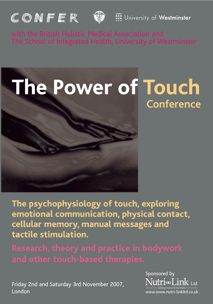



**:::** University of Westminster

with the British Holistic Medical Association and



**The psychophysiology of touch, exploring emotional communication, physical contact, cellular memory, manual messages and tactile stimulation.**

Friday 2nd and Saturday 3rd November 2007, London

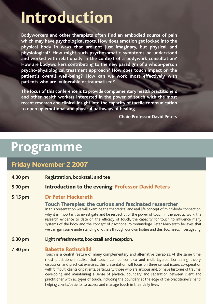# **Introduction**

**Bodyworkers and other therapists often find an embodied source of pain which may have psychological roots. How does emotion get locked into the physical body in ways that are not just imaginary, but physical and physiological? How might such psychosomatic symptoms be understood and worked with relationally in the context of a bodywork consultation? How are bodyworkers contributing to the new paradigm of a whole-person psycho-physiological treatment approach? How does touch impact on the patient's overall well-being? How can we work most effectively with patients who are vulnerable or traumatised?**

**The focus of this conference is to provide complementary health practitioners and other health workers interested in the power of touch with the most recent research and clinical insight into the capacity of tactile communication to open up emotional and physical pathways of healing.**

**Chair: Professor David Peters**

## **Programme**

### **Friday November 2 2007**

- **4.30 pm Registration, bookstall and tea**
- **5.00 pm Introduction to the evening: Professor David Peters**

#### **5.15 pm Dr Peter Mackereth**

#### **Touch Therapies: the curious and fascinated researcher**

In this presentation we will examine the theoretical and real life concept of mind-body connection, why it is important to investigate and be respectful of the power of touch in therapeutic work, the research evidence to date on the efficacy of touch, the capacity for touch to influence many systems of the body and the concept of psychoneuroimmunology. Peter Mackereth believes that we can gain some understanding of others through our own bodies and this, too, needs investigating.

**6.30 pm Light refreshments, bookstall and reception.**

#### **7.30 pm Babette Rothschild**

Touch is a central feature of many complementary and alternative therapies. At the same time, most practitioners realise that touch can be complex and multi-layered. Combining theory, discussion and practical exercises, this presentation will focus on three central issues: co-operation with 'difficult' clients or patients, particularly those who are anxious and/or have histories of trauma; developing and maintaining a sense of physical boundary and separation between client and practitioner with all types of touch, including the boundary at the edge of the practitioner's hand; helping clients/patients to access and manage touch in their daily lives.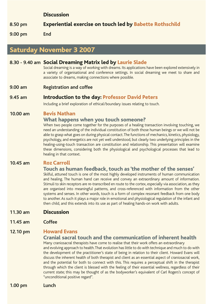#### **Discussion**

**8.50 pm Experiential exercise on touch led by Babette Rothschild** 

**9.00 pm End**

### **Saturday November 3 2007**

#### **8.30 - 9.40 am Social Dreaming Matrix led by Laurie Slade**

Social dreaming is a way of working with dreams. Its applications have been explored extensively in a variety of organisational and conference settings. In social dreaming we meet to share and associate to dreams, making connections where possible.

**9.00 am Registration and coffee**

#### **9.45 am Introduction to the day: Professor David Peters**

Including a brief exploration of ethical/boundary issues relating to touch.

#### **10.00 am Bevis Nathan**

#### **What happens when you touch someone?**

When two people come together for the purposes of a healing transaction involving touching, we need an understanding of the individual constitution of both those human beings or we will not be able to grasp what goes on during physical contact.The functions of mechanics, kinetics, physiology, psychology, and energetics are not yet well understood, but clearly two underlying principles in the healing-using-touch transaction are constitution and relationship. This presentation will examine these dimensions, considering both the physiological and psychological processes that lead to healing in that context.

#### **10.45 am Roz Carroll**

#### **Touch as human feedback, touch as 'the mother of the senses'**

Skilful, attuned touch is one of the most highly developed instruments of human communication and healing. The human hand can receive and convey an extraordinary amount of information. Stimuli to skin receptors are re-transcribed en route to the cortex, especially via association, as they are organised into meaningful patterns, and cross-referenced with information from the other systems and senses. In other words, touch is a form of complex resonant feedback from one body to another. As such it plays a major role in emotional and physiological regulation of the infant and then child, and this extends into its use as part of healing hands-on work with adults.

- **11.30 am Discussion**
- **11.45 am Coffee**

#### **12.10 pm Howard Evans**

#### **Cranial sacral touch and the communication of inherent health**

Many craniosacral therapists have come to realise that their work offers an extraordinary and evolving approach to health.That evolution has little to do with technique and much to do with the development of the practitioner's state of being in relation to their client. Howard Evans will discuss the inherent health of both therapist and client as an essential aspect of craniosacral work, and the potential for both to connect with this. This requires a perceptual shift in the therapist through which the client is blessed with the feeling of their essential wellness, regardless of their current state; this may be thought of as the bodyworker's equivalent of Carl Rogers's concept of "unconditional positive regard".

**1.00 pm Lunch**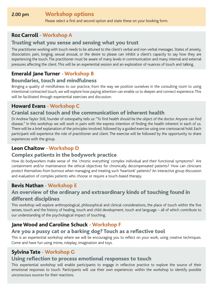#### **2.00 pm Workshop options**

Please select a first and second option and state these on your booking form.

#### **Roz Carroll - Workshop A**

#### **Trusting what you sense and sensing what you trust**

The practitioner working with touch needs to be attuned to the client's verbal and non-verbal messages. States of anxiety, dissociation, pain, longing, sexual arousal, or the desire to please can inhibit a client's capacity to say how they are experiencing the touch.The practitioner must be aware of many levels in communication and many internal and external pressures affecting the client.This will be an experiential session and an exploration of nuances of touch and talking.

#### **Emerald Jane Turner - Workshop B**

#### **Boundaries, touch and mindfulness**

Bringing a quality of mindfulness to our practice, from the way we position ourselves in the consulting room to using intentional contracted touch, we will explore how paying attention can enable us to deepen and connect experience.This will be facilitated through experiential exercises and discussion.

#### **Howard Evans - Workshop C**

#### **Cranial sacral touch and the communication of inherent health**

Dr Andrew Taylor Still, founder of osteopathy tells us: "To find health should be the object of the doctor. Anyone can find disease." In this workshop we will work in pairs with the express intention of finding the health inherent in each of us. There will be a brief explanation of the principles involved, followed by a guided exercise using one craniosacral hold. Each participant will experience the role of practitioner and client. The exercise will be followed by the opportunity to share experiences with the group.

#### **Leon Chaitow - Workshop D**

#### **Complex patients in the bodywork practice**

How do bodyworkers make sense of the 'chronic everything' complex individual and their functional symptoms? Are containment and/or maintenance the ethical objectives for chronically decompensated patients? How can clinicians protect themselves from burnout when managing and treating such 'heartsink' patients? An interactive group discussion and evaluation of complex patients who choose or require a touch-based therapy.

#### **Bevis Nathan - Workshop E**

#### **An overview of the ordinary and extraordinary kinds of touching found in different disciplines**

This workshop will explore anthropological, philosophical and clinical considerations, the place of touch within the five senses, touch and the history of healing, touch and child development, touch and language – all of which contribute to our understanding of the psychological impact of touching.

#### **Jane Wood and Caroline Schuck - Workshop F**

#### **Are you a pussy cat or a barking dog? Touch as a reflective tool**

This is an experiential workshop where we will be encouraging you to reflect on your work, using creative techniques. Come and have fun using mime, roleplay, imagination and toys.

#### **Sylvina Tate - Workshop G**

#### **Using reflection to process emotional responses to touch**

This experiential workshop will enable participants to engage in reflective practice to explore the source of their emotional responses to touch. Participants will use their own experiences within the workshop to identify possible unconscious sources for their reactions.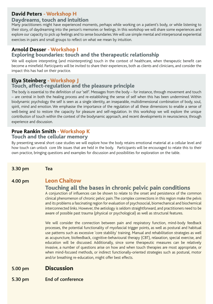#### **David Peters - Workshop H**

#### **Daydreams, touch and intuition**

Many practitioners might have experienced moments, perhaps while working on a patient's body, or while listening to their story, of daydreaming into the person's memories or feelings. In this workshop we will share some experiences and explore our capacity to pick up feelings and to sense boundaries.We will use simple mental and interpersonal experiential exercises in pairs and small groups to reflect on what we mean by intuition.

#### **Arnold Desser - Workshop I Exploring boundaries: touch and the therapeutic relationship**

We will explore interpreting (and misinterpreting) touch in the context of healthcare, when therapeutic benefit can become a minefield. Participants will be invited to share their experiences, both as clients and clinicians, and consider the impact this has had on their practice.

#### **Elya Steinberg - Workshop J Touch, affect-regulation and the pleasure principle**

The body is essential to the definition of our 'self'. Messages from the body – for instance, through movement and touch – are central in both the healing process and re-establishing the sense of self when this has been undermined. Within biodynamic psychology the self is seen as a single identity, an inseparable, multidimensional combination of body, soul, spirit, mind and emotion. We emphasise the importance of the regulation of all these dimensions to enable a sense of well-being and to restore the capacity for pleasure and self-regulation. In this workshop we will explore the unique contribution of touch within the context of the biodynamic approach, and recent developments in neuroscience, through experience and discussion.

#### **Prue Rankin Smith - Workshop K Touch and the cellular memory**

By presenting several short case studies we will explore how the body retains emotional material at a cellular level and how touch can unlock core life issues that are held in the body. Participants will be encouraged to relate this to their own practice, bringing questions and examples for discussion and possibilities for exploration on the table.

**3.30 pm Tea**

#### **4.00 pm Leon Chaitow**

#### **Touching all the bases in chronic pelvic pain conditions**

A conjunction of influences can be shown to relate to the onset and persistence of the common clinical phenomenon of chronic pelvic pain.The complex connections in this region make the pelvis and its problems a fascinating region for evaluation of psychosocial, biomechanical and biochemical interconnected links. However, the aetiology is seldom straightforward, and practitioners need to be aware of possible past trauma (physical or psychological) as well as structural features.

We will consider the connection between pain and respiratory function, mind-body feedback processes, the potential functionality of myofascial trigger points, as well as postural and habitual use patterns such as excessive 'core stability' training. Manual and rehabilitation strategies as well as acupuncture, biofeedback, cognitive-behavioural therapy (CBT), relaxation, special exercise, and education will be discussed. Additionally, since some therapeutic measures can be relatively invasive, a number of questions arise on how and when touch therapies are most appropriate, or when mind-focused methods, or indirect functionally-oriented strategies such as postural, motor and/or breathing re-education, might offer best effects.

#### **5.00 pm Discussion**

**5.30 pm End of conference**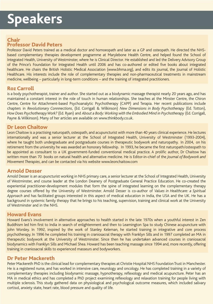## **Speakers**

#### **Chair Professor David Peters**

Professor David Peters trained as a medical doctor and homoeopath and later as a GP and osteopath. He directed the NHSbased complementary therapies development programme at Marylebone Health Centre, and helped found the School of Integrated Health, University of Westminster, where he is Clinical Director. He established and led the Delivery Advisory Group of the Prince's Foundation for Integrated Health until 2006 and has co-authored or edited five books about integrated healthcare. He chairs the British Holistic Medical Association (www.bhma.org), and edits its journal, the Journal of Holistic Healthcare. His interests include the role of complementary therapies and non-pharmaceutical treatments in mainstream medicine, wellbeing – particularly in long-term conditions – and the training of integrated practitioners.

#### **Roz Carroll**

is a body psychotherapist, trainer and author. She started out as a biodynamic massage therapist nearly 20 years ago, and has maintained a constant interest in the role of touch in human relationships. She teaches at the Minster Centre, the Chiron Centre, Centre for Attachment-based Psychoanalytic Psychotherapy (CAPP) and Terapia. Her recent publications include chapters in *Revolutionary Connnections*, (Ed. Corrigall & Wilkinson) *New Dimensions in Body Psychotherapy* (Ed. Totton), *How Does Psychotherapy Work?* (Ed. Ryan) and *About a Body: Working with the Embodied Mind in Psychotherapy* (Ed. Corrigall, Payne & Wilkinson). Many of her articles are available on www.thinkbody.co.uk.

#### **Dr Leon Chaitow**

Leon Chaitow is a practising naturopath, osteopath, and acupuncturist with more than 40 years clinical experience. He lectures internationally and was a senior lecturer at the School of Integrated Health, University of Westminster (1993-2004), where he taught both undergraduate and postgraduate courses in therapeutic bodywork and naturopathy. In 2004, on his retirement from the university he was awarded an honorary fellowship. In 1993, he became the first naturopath/osteopath to be appointed as consultant to a UK government-funded conventional medical practice. A prolific author, Dr Chaitow has written more than 70 books on natural health and alternative medicine. He is Editor-in-chief of the *Journal of Bodywork and Movement Therapies*, and can be contacted via his website www.leonchaitow.com

#### **Arnold Desser**

Arnold Desser is an acupuncturist working in NHS primary care, a senior lecturer at the School of Integrated Health, University of Westminster, and course leader at the London Deanery of Postgraduate General Practice Education. He co-created the experiential practitioner-development modules that form the spine of integrated learning on the complementary therapy degree courses offered by the University of Westminster. Arnold Desser is co-author of *Values in Healthcare: a Spiritual Approach* and has facilitated groups interested in this aspect of medical education in India, the USA and the UK. He has a background in systemic family therapy that he brings to his teaching, supervision, training and clinical work at the University of Westminster and in the NHS.

#### **Howard Evans**

Howard Evans's involvement in alternative approaches to health started in the late 1970s when a youthful interest in Zen Buddhism led him first to India in search of enlightenment and then to Leamington Spa to study Chinese acupuncture with John Worsley. In 1992, inspired by the work of Stanley Keleman, he started training in integrative and core process psychotherapy. In 1996 he completed his training in craniosacral therapy with Franklyn Sills and in 1997 completed an MA in therapeutic bodywork at the University of Westminster. Since then he has undertaken advanced courses in craniosacral biodynamics with Franklyn Sills and Michael Shea. Howard has been teaching massage since 1994 and, more recently, offering training in craniosacral skills to experienced masseurs and bodyworkers.

#### **Dr Peter Mackereth**

Peter Mackereth PhD is the clinical lead for complementary therapies at Christie Hospital NHS Foundation Trust in Manchester. He is a registered nurse, and has worked in intensive care, neurology and oncology. He has completed training in a variety of complementary therapies including biodynamic massage, hypnotherapy, reflexology and medical acupuncture. Peter has an MA in medical ethics and has completed a PhD project examining reflexology and relaxation training for people living with multiple sclerosis. This study gathered data on physiological and psychological outcome measures, which included salivary cortisol, anxiety state, heart rate, blood pressure and quality of life.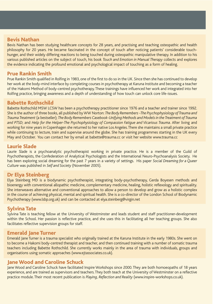#### **Bevis Nathan**

Bevis Nathan has been studying healthcare concepts for 28 years, and practising and teaching osteopathic and health philosophy for 20 years. He became fascinated in the concept of touch after noticing patients' considerable touchhunger, and their widely differing reactions to being touched during osteopathic manipulative therapy. In addition to his various published articles on the subject of touch, his book *Touch and Emotion in Manual Therapy* collects and explores the evidence indicating the profound emotional and psychological impact of touching as a form of healing.

#### **Prue Rankin Smith**

Prue Rankin Smith qualified in Rolfing in 1983, one of the first to do so in the UK. Since then she has continued to develop her work at the body-mind interface by completing courses in psychotherapy at Karuna Institute and becoming a teacher of the Hakomi Method of body-centred psychotherapy.These trainings have influenced her work and integrated into her Rolfing practice, bringing awareness and a depth of understanding of how touch can unlock core life-issues.

#### **Babette Rothschild**

Babette Rothschild MSW LCSW has been a psychotherapy practitioner since 1976 and a teacher and trainer since 1992. She is the author of three books, all published by WW Norton: *The Body Remembers -The Psychophysiology of Trauma and Trauma Treatment* (a bestseller); *The Body Remembers Casebook-Unifying Methods and Models in the Treatment of Trauma and PTSD*; and *Help for the Helper-The Psychophysiology of Compassion Fatigue and Vicarious Trauma*. After living and working for nine years in Copenhagen she returned to her native Los Angeles.There she maintains a small private practice while continuing to lecture, train and supervise around the globe. She has training programmes starting in the UK every May and October. You can contact her by email at babette@trauma.cc or visit her website www.trauma.cc

#### **Laurie Slade**

Laurie Slade is a psychoanalytic psychotherapist working in private practice. He is a member of the Guild of Psychotherapists, the Confederation of Analytical Psychologists and the International Neuro-Psychoanalysis Society. He has been exploring social dreaming for the past 7 years in a variety of settings. His paper *Social Dreaming for a Queer Culture* was published in *Self and Society* (November 2005).

#### **Dr Elya Steinberg**

Elya Steinberg MD is a biodynamic psychotherapist, integrating body-psychotherapy, Gerda Boyesen methods and bioenergy with conventional allopathic medicine, complementary medicine, healing, holistic reflexology and spirituality. She interweaves alternative and conventional approaches to allow a person to develop and grow as a holistic complex in the course of achieving physical, mental and spiritual health. She is a co-director of the London School of Biodynamic Psychotherapy (www.lsbp.org.uk) and can be contacted at elya.steinberg@virgin.net

#### **Sylvina Tate**

Sylvina Tate is teaching fellow at the University of Westminster and leads student and staff practitioner-development within the School. Her passion is reflective practice, and she uses this in facilitating all her teaching groups. She also facilitates reflective supervision groups for staff.

#### **Emerald Jane Turner**

Emerald Jane Turner is a trauma specialist who originally trained at the Karuna Institute in the early 1980s. She went on to become a Hakomi body-centred therapist and teacher, and then continued training with a number of somatic trauma teachers including Babette Rothschild. She currently works mainly in the area of trauma with individuals, groups and organisations using somatic approaches (www.ejtassociates.co.uk).

#### **Jane Wood and Caroline Schuck**

Jane Wood and Caroline Schuck have facilitated Inspire Workshops since 2000. They are both homoeopaths of 18 years experience, and are trained as supervisors and teachers. They both teach at the University of Westminster on a reflective practice module. Their most recent publication is *Playing, Reflection and Reality* (www.inspire-workshops.co.uk).